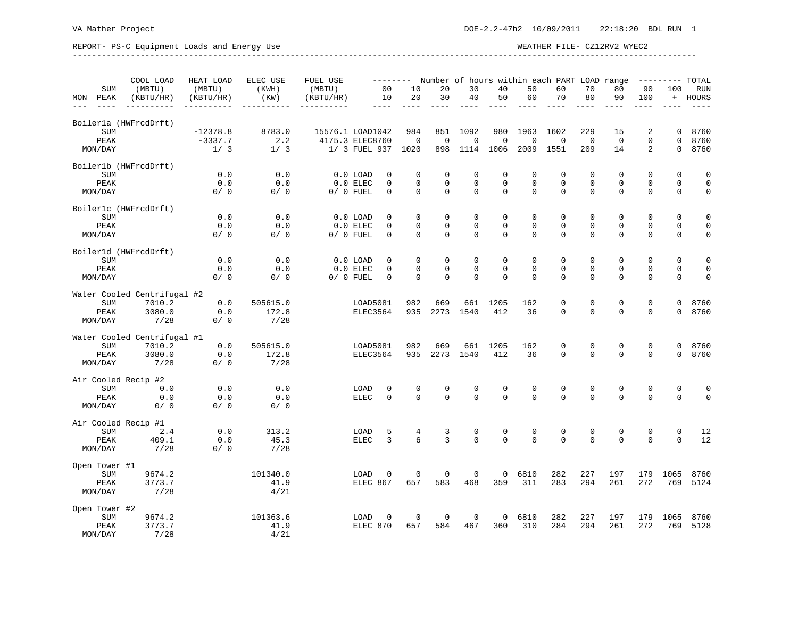## REPORT- PS-C Equipment Loads and Energy Use WEATHER FILE- CZ12RV2 WYEC2 --------------------------------------------------------------------------------------------------------------------------------- COOL LOAD HEAT LOAD ELEC USE FUEL USE -------- Number of hours within each PART LOAD range --------- TOTAL

|     |                    | COOL LOAD                   | HEAT LOAD  | ELEC USE         | FUEL USE         |                  | Number of hours within each PART LOAD range<br>TOTAL<br>---------- |                    |                         |                         |                  |                          |                         |                            |                         |                         |                         |              |
|-----|--------------------|-----------------------------|------------|------------------|------------------|------------------|--------------------------------------------------------------------|--------------------|-------------------------|-------------------------|------------------|--------------------------|-------------------------|----------------------------|-------------------------|-------------------------|-------------------------|--------------|
|     | <b>SUM</b>         | (MBTU)                      | (MBTU)     | (KWH)            | (MBTU)           |                  | 0 <sub>0</sub>                                                     | 10                 | 20                      | 30                      | 40               | 50                       | 60                      | 70                         | 80                      | 90                      | 100                     | <b>RUN</b>   |
| MON | PEAK               | (KBTU/HR)                   | (KBTU/HR)  | (KW)             | (KBTU/HR)        |                  | 10<br>----                                                         | 20                 | 30                      | 40                      | 50               | 60                       | 70                      | 80                         | 90                      | 100                     | $+$                     | HOURS        |
|     |                    | Boilerla (HWFrcdDrft)       |            |                  |                  |                  |                                                                    |                    |                         |                         |                  |                          |                         |                            |                         |                         |                         |              |
|     | SUM                |                             | $-12378.8$ | 8783.0           | 15576.1 LOAD1042 |                  |                                                                    | 984                | 851                     | 1092                    | 980              | 1963                     | 1602                    | 229                        | 15                      | 2                       | $\Omega$                | 8760         |
|     | PEAK               |                             | $-3337.7$  | 2.2              | 4175.3 ELEC8760  |                  |                                                                    | $\mathbf 0$        | $\mathbf 0$             | $\mathbf 0$             | 0                | $\mathbf 0$              | $\mathbf 0$             | $\mathbf 0$                | $\mathbf 0$             | $\mathbf 0$             | $\mathbf 0$             | 8760         |
|     | MON/DAY            |                             | 1/3        | 1/3              |                  | 1/ 3 FUEL 937    |                                                                    | 1020               | 898                     | 1114                    | 1006             | 2009                     | 1551                    | 209                        | 14                      | 2                       | $\Omega$                | 8760         |
|     |                    | Boiler1b (HWFrcdDrft)       |            |                  |                  |                  |                                                                    |                    |                         |                         |                  |                          |                         |                            |                         |                         |                         |              |
|     | <b>SUM</b>         |                             | 0.0        | 0.0              |                  | $0.0$ LOAD       | 0                                                                  | 0                  | $\mathbf 0$             | $\mathbf 0$             | 0                | $\mathbf 0$              | $\mathbf 0$             | $\mathbf 0$                | 0                       | 0                       | $\mathbf 0$             | $\mathbf 0$  |
|     | PEAK               |                             | 0.0        | 0.0              |                  | $0.0$ ELEC       | 0<br>$\Omega$                                                      | $\mathbf 0$        | $\mathbf 0$<br>$\Omega$ | $\mathbf 0$<br>$\Omega$ | 0<br>$\mathbf 0$ | $\mathbf{0}$<br>$\Omega$ | $\mathbf 0$<br>$\Omega$ | $\mathbf 0$<br>$\mathbf 0$ | $\mathbf 0$<br>$\Omega$ | $\mathbf 0$<br>$\Omega$ | $\mathbf 0$<br>$\Omega$ | $\mathbf 0$  |
|     | MON/DAY            |                             | 0/0        | 0/0              |                  | $0/0$ FUEL       |                                                                    | $\mathbf 0$        |                         |                         |                  |                          |                         |                            |                         |                         |                         | $\mathbf 0$  |
|     | SUM                | Boiler1c (HWFrcdDrft)       | 0.0        | 0.0              |                  | $0.0$ LOAD       | 0                                                                  | 0                  | $\mathbf 0$             | $\mathbf 0$             | 0                | $\mathbf{0}$             | 0                       | $\mathbf 0$                | 0                       | $\mathbf 0$             | $\mathbf 0$             | $\mathsf 0$  |
|     | PEAK               |                             | 0.0        | 0.0              |                  | $0.0$ ELEC       | 0                                                                  | $\mathbf 0$        | $\Omega$                | $\Omega$                | 0                | $\Omega$                 | $\Omega$                | $\mathbf 0$                | $\Omega$                | $\Omega$                | $\Omega$                | $\mathsf 0$  |
|     | MON/DAY            |                             | 0/0        | 0/0              |                  | $0/0$ FUEL       | $\Omega$                                                           | $\mathbf 0$        | $\Omega$                | $\Omega$                | 0                | $\Omega$                 | $\Omega$                | $\mathbf 0$                | $\Omega$                | $\Omega$                | $\mathbf 0$             | $\mathsf 0$  |
|     |                    | Boiler1d (HWFrcdDrft)       |            |                  |                  |                  |                                                                    |                    |                         |                         |                  |                          |                         |                            |                         |                         |                         |              |
|     | <b>SUM</b>         |                             | 0.0        | 0.0              |                  | $0.0$ LOAD       | $\Omega$                                                           | $\mathbf 0$        | $\Omega$                | $\Omega$                | 0                | $\Omega$                 | $\Omega$                | 0                          | $\Omega$                | $\Omega$                | $\Omega$                | $\mathbf{0}$ |
|     | PEAK               |                             | 0.0        | 0.0              |                  | $0.0$ ELEC       | 0                                                                  | $\mathbf 0$        | $\Omega$                | $\Omega$                | 0                | $\mathbf{0}$             | $\Omega$                | $\mathbf{0}$               | $\mathbf 0$             | $\Omega$                | $\Omega$                | $\mathbf 0$  |
|     | MON/DAY            |                             | 0/0        | 0/0              |                  | $0/0$ FUEL       | $\Omega$                                                           | $\Omega$           | $\Omega$                | $\Omega$                | $\Omega$         | $\Omega$                 | $\Omega$                | $\Omega$                   | $\Omega$                | $\Omega$                | $\Omega$                | $\mathbf 0$  |
|     |                    | Water Cooled Centrifugal #2 |            |                  |                  |                  |                                                                    |                    |                         |                         |                  |                          |                         |                            |                         |                         |                         |              |
|     | <b>SUM</b>         | 7010.2                      | 0.0        | 505615.0         |                  | LOAD5081         |                                                                    | 982                | 669                     | 661                     | 1205             | 162                      | 0                       | 0                          | 0                       | $\mathbf 0$             | 0                       | 8760         |
|     | PEAK<br>MON/DAY    | 3080.0<br>7/28              | 0.0<br>0/0 | 172.8<br>7/28    |                  | ELEC3564         |                                                                    | 935                | 2273                    | 1540                    | 412              | 36                       | $\mathbf 0$             | $\mathbf 0$                | $\Omega$                | $\Omega$                | $\Omega$                | 8760         |
|     |                    | Water Cooled Centrifugal #1 |            |                  |                  |                  |                                                                    |                    |                         |                         |                  |                          |                         |                            |                         |                         |                         |              |
|     | <b>SUM</b>         | 7010.2                      | 0.0        | 505615.0         |                  | LOAD5081         |                                                                    | 982                | 669                     | 661                     | 1205             | 162                      | 0                       | $\mathbf 0$                | 0                       | $\mathbf 0$             | $\mathbf{0}$            | 8760         |
|     | PEAK               | 3080.0                      | 0.0        | 172.8            |                  | ELEC3564         |                                                                    | 935                | 2273                    | 1540                    | 412              | 36                       | $\Omega$                | $\Omega$                   | $\Omega$                | $\Omega$                | $\Omega$                | 8760         |
|     | MON/DAY            | 7/28                        | 0/0        | 7/28             |                  |                  |                                                                    |                    |                         |                         |                  |                          |                         |                            |                         |                         |                         |              |
|     |                    | Air Cooled Recip #2         |            |                  |                  |                  |                                                                    |                    |                         |                         |                  |                          |                         |                            |                         |                         |                         |              |
|     | <b>SUM</b>         | 0.0                         | 0.0        | 0.0              |                  | LOAD             | 0                                                                  | $\mathbf{0}$       | $\mathbf 0$             | $\mathbf 0$             | $\mathbf 0$      | $\mathbf{0}$             | $\mathbf 0$             | $\mathbf{0}$               | $\mathbf 0$             | $\mathbf 0$             | $\mathbf 0$             | $\mathbf{0}$ |
|     | PEAK               | 0.0                         | 0.0        | 0.0              |                  | <b>ELEC</b>      | 0                                                                  | $\mathbf 0$        | $\Omega$                | $\mathbf 0$             | 0                | $\mathbf 0$              | $\Omega$                | $\Omega$                   | $\Omega$                | $\Omega$                | $\Omega$                | $\mathbf 0$  |
|     | MON/DAY            | 0/0                         | 0/0        | 0/0              |                  |                  |                                                                    |                    |                         |                         |                  |                          |                         |                            |                         |                         |                         |              |
|     |                    | Air Cooled Recip #1         |            |                  |                  |                  |                                                                    |                    |                         |                         |                  |                          |                         |                            |                         |                         |                         |              |
|     | <b>SUM</b>         | 2.4                         | 0.0        | 313.2            |                  | LOAD             | 5                                                                  | 4                  | 3                       | 0                       | 0                | 0                        | $\mathbf 0$             | 0                          | 0                       | 0                       | $\mathbf 0$             | 12           |
|     | PEAK               | 409.1                       | 0.0        | 45.3             |                  | <b>ELEC</b>      | 3                                                                  | 6                  | 3                       | $\Omega$                | $\mathbf 0$      | $\Omega$                 | $\Omega$                | $\Omega$                   | $\Omega$                | $\Omega$                | $\Omega$                | 12           |
|     | MON/DAY            | 7/28                        | 0/0        | 7/28             |                  |                  |                                                                    |                    |                         |                         |                  |                          |                         |                            |                         |                         |                         |              |
|     | Open Tower #1      |                             |            |                  |                  |                  |                                                                    |                    |                         |                         |                  |                          |                         |                            |                         |                         |                         |              |
|     | <b>SUM</b><br>PEAK | 9674.2<br>3773.7            |            | 101340.0<br>41.9 |                  | LOAD<br>ELEC 867 | 0                                                                  | $\mathbf 0$<br>657 | $\mathbf 0$<br>583      | $\mathbf 0$<br>468      | 0<br>359         | 6810<br>311              | 282<br>283              | 227<br>294                 | 197<br>261              | 179<br>272              | 1065<br>769             | 8760<br>5124 |
|     | MON/DAY            | 7/28                        |            | 4/21             |                  |                  |                                                                    |                    |                         |                         |                  |                          |                         |                            |                         |                         |                         |              |
|     | Open Tower #2      |                             |            |                  |                  |                  |                                                                    |                    |                         |                         |                  |                          |                         |                            |                         |                         |                         |              |
|     | <b>SUM</b>         | 9674.2                      |            | 101363.6         |                  | LOAD             | 0                                                                  | $\mathbf 0$        | $\Omega$                | $\mathbf 0$             | $\mathbf 0$      | 6810                     | 282                     | 227                        | 197                     | 179                     | 1065                    | 8760         |
|     | PEAK               | 3773.7                      |            | 41.9             |                  | ELEC 870         |                                                                    | 657                | 584                     | 467                     | 360              | 310                      | 284                     | 294                        | 261                     | 272                     | 769                     | 5128         |
|     | MON/DAY            | 7/28                        |            | 4/21             |                  |                  |                                                                    |                    |                         |                         |                  |                          |                         |                            |                         |                         |                         |              |